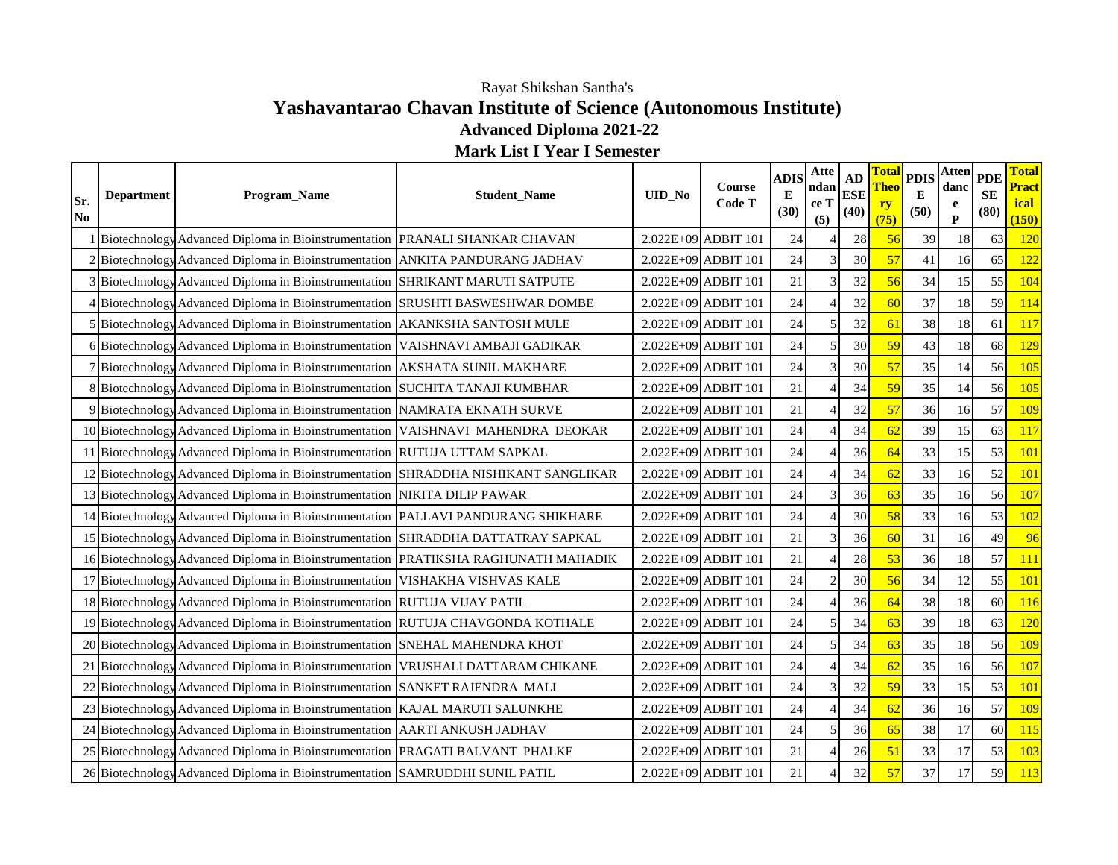## **Yashavantarao Chavan Institute of Science (Autonomous Institute) Advanced Diploma 2021-22** Rayat Shikshan Santha's

**Mark List I Year I Semester**

| Sr.<br>N <sub>0</sub> | <b>Department</b> | Program_Name                                                                       | <b>Student Name</b>                                                                  | UID_No | <b>Course</b><br>Code T | <b>ADIS</b><br>E<br>(30) | Atte<br>ndan<br>ce T<br>(5) | AD<br><b>ESE</b><br>(40) | <b>Theo</b><br>ry<br>(75) | Total PDIS'<br>${\bf E}$<br>(50) | [Atten] PDE<br>danc<br>e<br>$\mathbf{P}$ | SE<br>(80) | <b>Total</b><br><b>Pract</b><br>ical  <br>(150) |
|-----------------------|-------------------|------------------------------------------------------------------------------------|--------------------------------------------------------------------------------------|--------|-------------------------|--------------------------|-----------------------------|--------------------------|---------------------------|----------------------------------|------------------------------------------|------------|-------------------------------------------------|
|                       |                   | Biotechnology Advanced Diploma in Bioinstrumentation PRANALI SHANKAR CHAVAN        |                                                                                      |        | $2.022E+09$ ADBIT 101   | 24                       |                             | 28                       | 56                        | 39                               | 18                                       | 63         | <b>120</b>                                      |
|                       |                   | 2 Biotechnology Advanced Diploma in Bioinstrumentation ANKITA PANDURANG JADHAV     |                                                                                      |        | 2.022E+09 ADBIT 101     | 24                       | 3                           | 30                       | 57                        | 41                               | 16                                       | 65         | <b>122</b>                                      |
|                       |                   | 3 Biotechnology Advanced Diploma in Bioinstrumentation SHRIKANT MARUTI SATPUTE     |                                                                                      |        | 2.022E+09 ADBIT 101     | 21                       | 3                           | 32                       | 56                        | 34                               | 15                                       | 55         | 104                                             |
|                       |                   | Biotechnology Advanced Diploma in Bioinstrumentation SRUSHTI BASWESHWAR DOMBE      |                                                                                      |        | 2.022E+09 ADBIT 101     | 24                       |                             | 32                       | 60                        | 37                               | 18                                       | 59         | <b>114</b>                                      |
|                       |                   | 5 Biotechnology Advanced Diploma in Bioinstrumentation   AKANKSHA SANTOSH MULE     |                                                                                      |        | $2.022E+09$ ADBIT 101   | 24                       | 5                           | 32                       | 61                        | 38                               | 18                                       | 61         | <b>117</b>                                      |
|                       |                   | 6 Biotechnology Advanced Diploma in Bioinstrumentation VAISHNAVI AMBAJI GADIKAR    |                                                                                      |        | 2.022E+09 ADBIT 101     | 24                       | 5                           | 30                       | 59                        | 43                               | 18                                       | 68         | 129                                             |
|                       |                   | Biotechnology Advanced Diploma in Bioinstrumentation AKSHATA SUNIL MAKHARE         |                                                                                      |        | $2.022E+09$ ADBIT 101   | 24                       | 3                           | 30                       | 57                        | 35                               | 14                                       | 56         | 105                                             |
|                       |                   | 8 Biotechnology Advanced Diploma in Bioinstrumentation SUCHITA TANAJI KUMBHAR      |                                                                                      |        | $2.022E+09$ ADBIT 101   | 21                       |                             | 34                       | 59                        | 35                               | 14                                       | 56         | 105                                             |
|                       |                   | 9 Biotechnology Advanced Diploma in Bioinstrumentation NAMRATA EKNATH SURVE        |                                                                                      |        | $2.022E+09$ ADBIT 101   | 21                       |                             | 32                       | 57                        | 36                               | 16                                       | 57         | 109                                             |
|                       |                   | 10 Biotechnology Advanced Diploma in Bioinstrumentation VAISHNAVI MAHENDRA DEOKAR  |                                                                                      |        | 2.022E+09 ADBIT 101     | 24                       |                             | 34                       | 62                        | 39                               | 15                                       | 63         | <b>117</b>                                      |
|                       |                   | 11 Biotechnology Advanced Diploma in Bioinstrumentation RUTUJA UTTAM SAPKAL        |                                                                                      |        | 2.022E+09 ADBIT 101     | 24                       |                             | 36                       | 64                        | 33                               | 15                                       | 53         | <b>101</b>                                      |
|                       |                   |                                                                                    | 12 Biotechnology Advanced Diploma in Bioinstrumentation SHRADDHA NISHIKANT SANGLIKAR |        | $2.022E+09$ ADBIT 101   | 24                       |                             | 34                       | 62                        | 33                               | 16                                       | 52         | <b>101</b>                                      |
|                       |                   | 13 Biotechnology Advanced Diploma in Bioinstrumentation NIKITA DILIP PAWAR         |                                                                                      |        | 2.022E+09 ADBIT 101     | 24                       | 3                           | 36                       | 63                        | 35                               | 16                                       | 56         | 107                                             |
|                       |                   | 14 Biotechnology Advanced Diploma in Bioinstrumentation PALLAVI PANDURANG SHIKHARE |                                                                                      |        | $2.022E+09$ ADBIT 101   | 24                       |                             | 30                       | 58                        | 33                               | 16                                       | 53         | 102                                             |
|                       |                   | 15 Biotechnology Advanced Diploma in Bioinstrumentation SHRADDHA DATTATRAY SAPKAL  |                                                                                      |        | $2.022E+09$ ADBIT 101   | 21                       | 3                           | 36                       | 60                        | 31                               | 16                                       | 49         | 96                                              |
|                       |                   |                                                                                    | 16 Biotechnology Advanced Diploma in Bioinstrumentation PRATIKSHA RAGHUNATH MAHADIK  |        | $2.022E+09$ ADBIT 101   | 21                       |                             | 28                       | 53                        | 36                               | 18                                       | 57         | 111                                             |
|                       |                   | 17 Biotechnology Advanced Diploma in Bioinstrumentation VISHAKHA VISHVAS KALE      |                                                                                      |        | 2.022E+09 ADBIT 101     | 24                       | $\overline{2}$              | 30                       | 56                        | 34                               | 12                                       | 55         | <b>101</b>                                      |
|                       |                   | 18 Biotechnology Advanced Diploma in Bioinstrumentation RUTUJA VIJAY PATIL         |                                                                                      |        | 2.022E+09 ADBIT 101     | 24                       | $\overline{A}$              | 36                       | 64                        | 38                               | 18                                       | 60         | <b>116</b>                                      |
|                       |                   | 19 Biotechnology Advanced Diploma in Bioinstrumentation RUTUJA CHAVGONDA KOTHALE   |                                                                                      |        | $2.022E+09$ ADBIT 101   | 24                       | 5                           | 34                       | 63                        | 39                               | 18                                       | 63         | <b>120</b>                                      |
|                       |                   | 20 Biotechnology Advanced Diploma in Bioinstrumentation SNEHAL MAHENDRA KHOT       |                                                                                      |        | 2.022E+09 ADBIT 101     | 24                       | 5                           | 34                       | 63                        | 35                               | 18                                       | 56         | 109                                             |
|                       |                   | 21 Biotechnology Advanced Diploma in Bioinstrumentation VRUSHALI DATTARAM CHIKANE  |                                                                                      |        | $2.022E+09$ ADBIT 101   | 24                       |                             | 34                       | 62                        | 35                               | 16                                       | 56         | 107                                             |
|                       |                   | 22 Biotechnology Advanced Diploma in Bioinstrumentation SANKET RAJENDRA MALI       |                                                                                      |        | $2.022E+09$ ADBIT 101   | 24                       | 3                           | 32                       | 59                        | 33                               | 15                                       | 53         | <b>101</b>                                      |
|                       |                   | 23 Biotechnology Advanced Diploma in Bioinstrumentation   KAJAL MARUTI SALUNKHE    |                                                                                      |        | 2.022E+09 ADBIT 101     | 24                       |                             | 34                       | 62                        | 36                               | 16                                       | 57         | 109                                             |
|                       |                   | 24 Biotechnology Advanced Diploma in Bioinstrumentation AARTI ANKUSH JADHAV        |                                                                                      |        | 2.022E+09 ADBIT 101     | 24                       | 5                           | 36                       | 65                        | 38                               | 17                                       | 60         | <b>115</b>                                      |
|                       |                   | 25 Biotechnology Advanced Diploma in Bioinstrumentation   PRAGATI BALVANT PHALKE   |                                                                                      |        | 2.022E+09 ADBIT 101     | 21                       | $\overline{A}$              | 26                       | 51                        | 33                               | 17                                       | 53         | 103                                             |
|                       |                   | 26 Biotechnology Advanced Diploma in Bioinstrumentation SAMRUDDHI SUNIL PATIL      |                                                                                      |        | 2.022E+09 ADBIT 101     | 21                       |                             | 32                       | 57                        | 37                               | 17                                       | 59         | 113                                             |